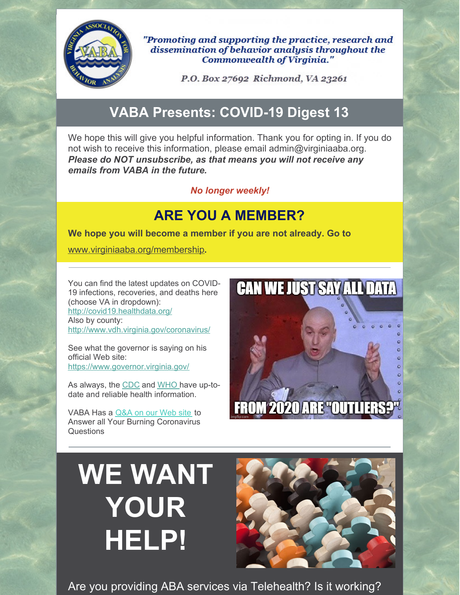

"Promoting and supporting the practice, research and dissemination of behavior analysis throughout the **Commonwealth of Virginia."** 

P.O. Box 27692 Richmond, VA 23261

## **VABA Presents: COVID-19 Digest 13**

We hope this will give you helpful information. Thank you for opting in. If you do not wish to receive this information, please email admin@virginiaaba.org. *Please do NOT unsubscribe, as that means you will not receive any emails from VABA in the future.*

#### *No longer weekly!*

## **ARE YOU A MEMBER?**

**We hope you will become a member if you are not already. Go to**

[www.virginiaaba.org/membership](http://www.virginiaaba.org/membership)**.**

You can find the latest updates on COVID-19 infections, recoveries, and deaths here (choose VA in dropdown): <http://covid19.healthdata.org/> Also by county: <http://www.vdh.virginia.gov/coronavirus/>

See what the governor is saying on his official Web site: <https://www.governor.virginia.gov/>

As always, the [CDC](https://www.cdc.gov/coronavirus/2019-nCoV/index.html) and [WHO](https://www.who.int/emergencies/diseases/novel-coronavirus-2019) have up-todate and reliable health information.

VABA Has a [Q&A](https://www.virginiaaba.org/information-on-covid-19/) on our Web site to Answer all Your Burning Coronavirus Questions

## **CAN WE JUST SAY ALL DATA**  $\overline{O}$  $\circ$  $\circ$  $\circ$  $\ddot{\circ}$ **FROM 2020 ARE "OUTLIERS?"**

# **WE WANT YOUR HELP!**



Are you providing ABA services via Telehealth? Is it working?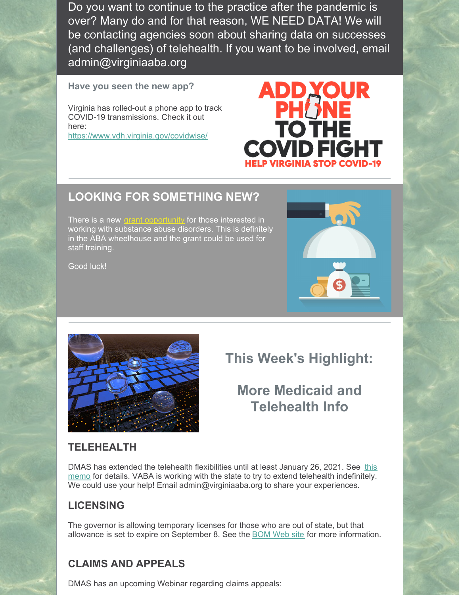Do you want to continue to the practice after the pandemic is over? Many do and for that reason, WE NEED DATA! We will be contacting agencies soon about sharing data on successes (and challenges) of telehealth. If you want to be involved, email admin@virginiaaba.org

**Have you seen the new app?**

Virginia has rolled-out a phone app to track COVID-19 transmissions. Check it out here:

<https://www.vdh.virginia.gov/covidwise/>

## **LOOKING FOR SOMETHING NEW?**

There is a new grant [opportunity](https://www.medicaid.gov/medicaid/benefits/behavioral-health-services/substance-use-disorder-prevention-promotes-opioid-recovery-and-treatment-patients-and-communities-support-act-section-1003/index.html) for those interested in working with substance abuse disorders. This is definitely in the ABA wheelhouse and the grant could be used for staff training.

Good luck!





**This Week's Highlight:**

ADDY

**PHUNE**<br>TO THE

**COVID FIGHT** 

## **More Medicaid and Telehealth Info**

#### **TELEHEALTH**

DMAS has extended the telehealth flexibilities until at least January 26, 2021. See this memo for details. VABA is working with the state to try to extend telehealth [indefinitely.](https://www.dmas.virginia.gov/files/links/5455/8.5.20_Unwinding memo_Final.pdf) We could use your help! Email admin@virginiaaba.org to share your experiences.

#### **LICENSING**

The governor is allowing temporary licenses for those who are out of state, but that allowance is set to expire on September 8. See the [BOM](http://www.dhp.virginia.gov/medicine/) Web site for more information.

## **CLAIMS AND APPEALS**

DMAS has an upcoming Webinar regarding claims appeals: